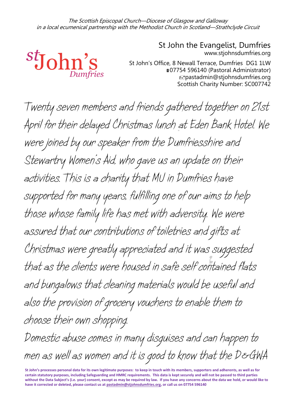The Scottish Episcopal Church—Diocese of Glasgow and Galloway in a local ecumenical partnership with the Methodist Church in Scotland—Strathclyde Circuit



www.stjohnsdumfries.org St John's Office, 8 Newall Terrace, Dumfries DG1 1LW ■07754 596140 (Pastoral Administrator) pastadmin@stjohnsdumfries.org Scottish Charity Number: SC007742

St John the Evangelist, Dumfries

*Twenty seven members and friends gathered together on 21st April for their delayed Christmas lunch at Eden Bank Hotel. We were joined by our speaker from the Dumfriesshire and Stewartry Women's Aid, who gave us an update on their activities. This is a charity that MU in Dumfries have supported for many years, fulfilling one of our aims to help those whose family life has met with adversity. We were assured that our contributions of toiletries and gifts at Christmas were greatly appreciated and it was suggested that as the clients were housed in safe self contained flats and bungalows that cleaning materials would be useful and also the provision of grocery vouchers to enable them to choose their own shopping. Domestic abuse comes in many disguises and can happen to*

*men as well as women and it is good to know that the D&GWA* 

**St John's processes personal data for its own legitimate purposes: to keep in touch with its members, supporters and adherents, as well as for certain statutory purposes, including Safeguarding and HMRC requirements. This data is kept securely and will not be passed to third parties without the Data Subject's (i.e. your) consent, except as may be required by law. If you have any concerns about the data we hold, or would like to have it corrected or deleted, please contact us a[t pastadmin@stjohnsdumfries.org,](mailto:pastadmin@stjohnsdumfries.org) or call us on 07754 596140**